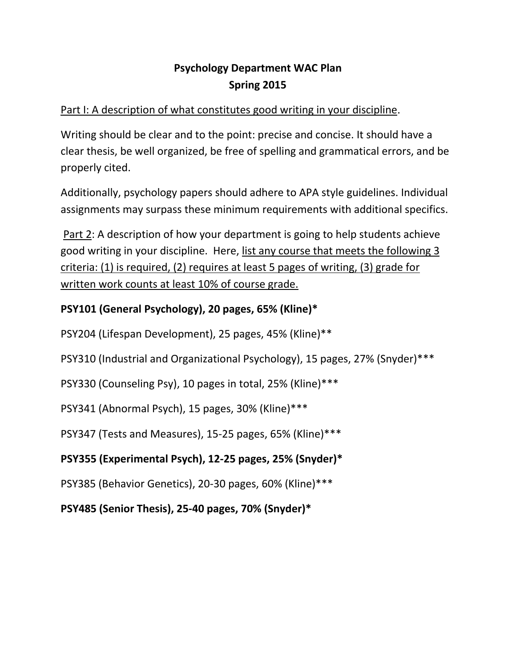## **Psychology Department WAC Plan Spring 2015**

### Part I: A description of what constitutes good writing in your discipline.

Writing should be clear and to the point: precise and concise. It should have a clear thesis, be well organized, be free of spelling and grammatical errors, and be properly cited.

Additionally, psychology papers should adhere to APA style guidelines. Individual assignments may surpass these minimum requirements with additional specifics.

Part 2: A description of how your department is going to help students achieve good writing in your discipline. Here, list any course that meets the following 3 criteria: (1) is required, (2) requires at least 5 pages of writing, (3) grade for written work counts at least 10% of course grade.

### **PSY101 (General Psychology), 20 pages, 65% (Kline)\***

PSY204 (Lifespan Development), 25 pages, 45% (Kline)\*\*

PSY310 (Industrial and Organizational Psychology), 15 pages, 27% (Snyder)\*\*\*

PSY330 (Counseling Psy), 10 pages in total, 25% (Kline)\*\*\*

PSY341 (Abnormal Psych), 15 pages, 30% (Kline)\*\*\*

PSY347 (Tests and Measures), 15-25 pages, 65% (Kline)\*\*\*

# **PSY355 (Experimental Psych), 12-25 pages, 25% (Snyder)\***

PSY385 (Behavior Genetics), 20-30 pages, 60% (Kline)\*\*\*

**PSY485 (Senior Thesis), 25-40 pages, 70% (Snyder)\***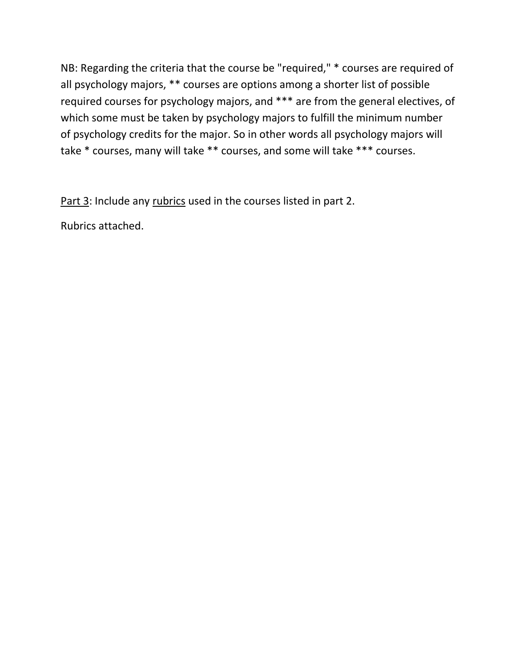NB: Regarding the criteria that the course be "required," \* courses are required of all psychology majors, \*\* courses are options among a shorter list of possible required courses for psychology majors, and \*\*\* are from the general electives, of which some must be taken by psychology majors to fulfill the minimum number of psychology credits for the major. So in other words all psychology majors will take \* courses, many will take \*\* courses, and some will take \*\*\* courses.

Part 3: Include any rubrics used in the courses listed in part 2.

Rubrics attached.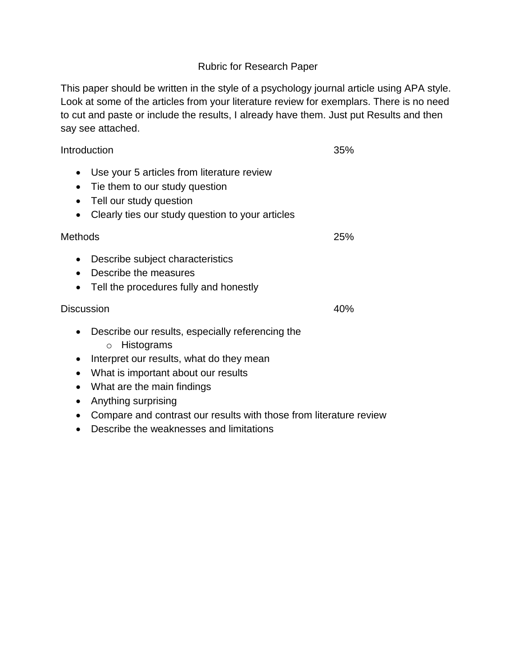#### Rubric for Research Paper

This paper should be written in the style of a psychology journal article using APA style. Look at some of the articles from your literature review for exemplars. There is no need to cut and paste or include the results, I already have them. Just put Results and then say see attached.

#### Introduction 35%

- Use your 5 articles from literature review
- Tie them to our study question
- Tell our study question
- Clearly ties our study question to your articles

#### Methods 25%

- Describe subject characteristics
- Describe the measures
- Tell the procedures fully and honestly

#### Discussion 40%

- Describe our results, especially referencing the
	- o Histograms
- Interpret our results, what do they mean
- What is important about our results
- What are the main findings
- Anything surprising
- Compare and contrast our results with those from literature review
- Describe the weaknesses and limitations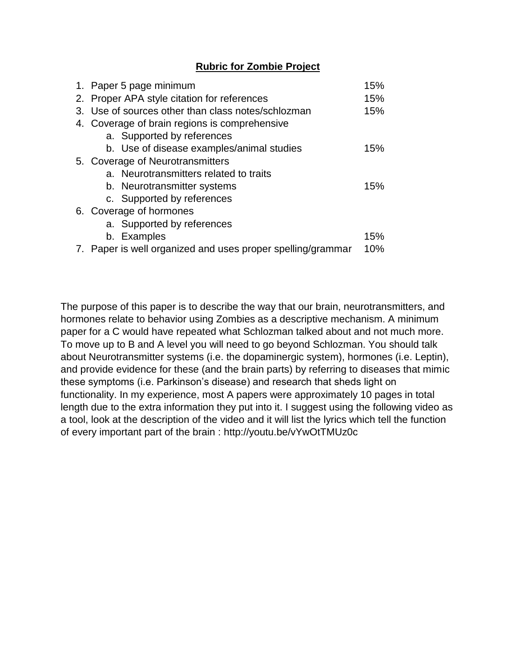#### **Rubric for Zombie Project**

|    | 1. Paper 5 page minimum                                     |     |  |  |  |  |
|----|-------------------------------------------------------------|-----|--|--|--|--|
| 2. | Proper APA style citation for references                    |     |  |  |  |  |
|    | 3. Use of sources other than class notes/schlozman          |     |  |  |  |  |
|    | 4. Coverage of brain regions is comprehensive               |     |  |  |  |  |
|    | a. Supported by references                                  |     |  |  |  |  |
|    | b. Use of disease examples/animal studies                   | 15% |  |  |  |  |
|    | 5. Coverage of Neurotransmitters                            |     |  |  |  |  |
|    | a. Neurotransmitters related to traits                      |     |  |  |  |  |
|    | b. Neurotransmitter systems                                 | 15% |  |  |  |  |
|    | c. Supported by references                                  |     |  |  |  |  |
|    | 6. Coverage of hormones                                     |     |  |  |  |  |
|    | a. Supported by references                                  |     |  |  |  |  |
|    | b. Examples                                                 | 15% |  |  |  |  |
|    | 7. Paper is well organized and uses proper spelling/grammar | 10% |  |  |  |  |

The purpose of this paper is to describe the way that our brain, neurotransmitters, and hormones relate to behavior using Zombies as a descriptive mechanism. A minimum paper for a C would have repeated what Schlozman talked about and not much more. To move up to B and A level you will need to go beyond Schlozman. You should talk about Neurotransmitter systems (i.e. the dopaminergic system), hormones (i.e. Leptin), and provide evidence for these (and the brain parts) by referring to diseases that mimic these symptoms (i.e. Parkinson's disease) and research that sheds light on functionality. In my experience, most A papers were approximately 10 pages in total length due to the extra information they put into it. I suggest using the following video as a tool, look at the description of the video and it will list the lyrics which tell the function of every important part of the brain : http://youtu.be/vYwOtTMUz0c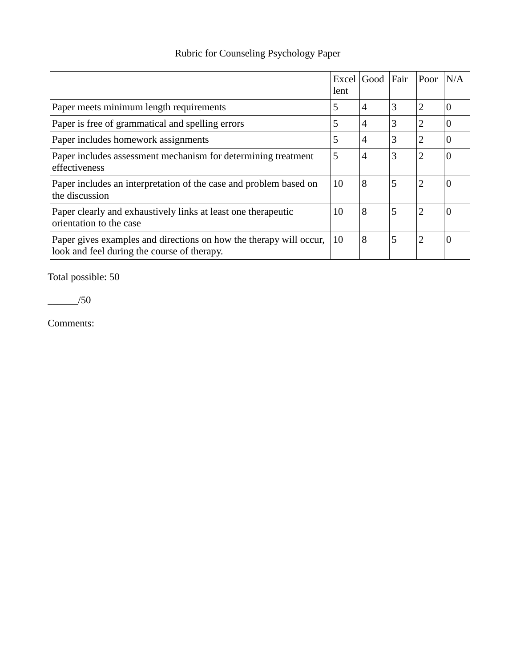# Rubric for Counseling Psychology Paper

|                                                                                                                   | lent | Excel Good     | Fair | Poor           | N/A |
|-------------------------------------------------------------------------------------------------------------------|------|----------------|------|----------------|-----|
| Paper meets minimum length requirements                                                                           | 5    | $\overline{4}$ | 3    | $\overline{2}$ |     |
| Paper is free of grammatical and spelling errors                                                                  | 5    | $\overline{4}$ | 3    | $\overline{2}$ |     |
| Paper includes homework assignments                                                                               | 5    | $\overline{4}$ | 3    | $\overline{2}$ |     |
| Paper includes assessment mechanism for determining treatment<br>effectiveness                                    | 5    | $\overline{4}$ | 3    | $\overline{2}$ |     |
| Paper includes an interpretation of the case and problem based on<br>the discussion                               | 10   | 8              | 5    | $\overline{2}$ |     |
| Paper clearly and exhaustively links at least one therapeutic<br>orientation to the case                          | 10   | 8              | 5    | $\overline{2}$ |     |
| Paper gives examples and directions on how the therapy will occur,<br>look and feel during the course of therapy. | 10   | 8              | 5    | $\overline{2}$ |     |

Total possible: 50

 $\frac{\ }{1}$ /50

Comments: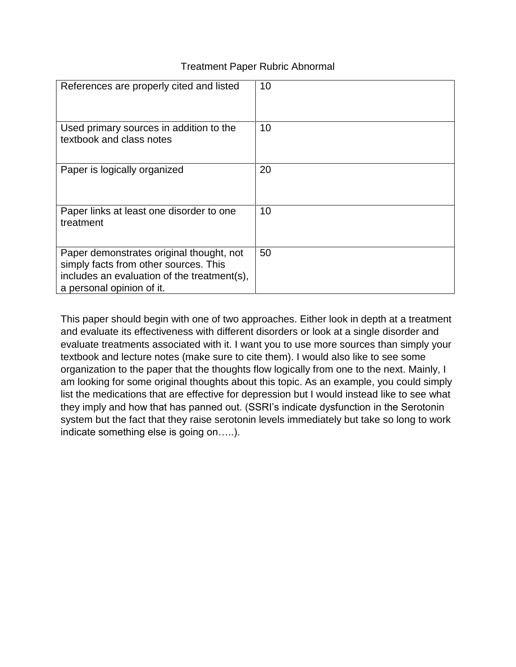#### Treatment Paper Rubric Abnormal

| References are properly cited and listed                                                                                                                      | 10 |
|---------------------------------------------------------------------------------------------------------------------------------------------------------------|----|
| Used primary sources in addition to the<br>textbook and class notes                                                                                           | 10 |
| Paper is logically organized                                                                                                                                  | 20 |
| Paper links at least one disorder to one<br>treatment                                                                                                         | 10 |
| Paper demonstrates original thought, not<br>simply facts from other sources. This<br>includes an evaluation of the treatment(s),<br>a personal opinion of it. | 50 |

This paper should begin with one of two approaches. Either look in depth at a treatment and evaluate its effectiveness with different disorders or look at a single disorder and evaluate treatments associated with it. I want you to use more sources than simply your textbook and lecture notes (make sure to cite them). I would also like to see some organization to the paper that the thoughts flow logically from one to the next. Mainly, I am looking for some original thoughts about this topic. As an example, you could simply list the medications that are effective for depression but I would instead like to see what they imply and how that has panned out. (SSRI's indicate dysfunction in the Serotonin system but the fact that they raise serotonin levels immediately but take so long to work indicate something else is going on…..).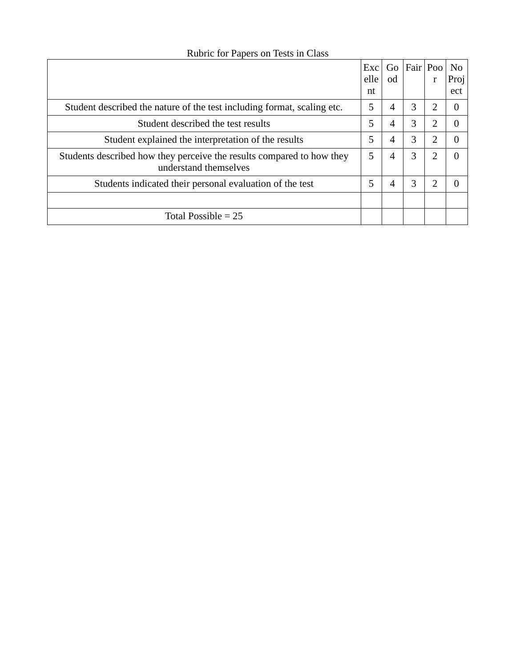|                                                                                                | Exc<br>elle | Go<br>od | Fair Poo | r                           | N <sub>0</sub><br>Proj |
|------------------------------------------------------------------------------------------------|-------------|----------|----------|-----------------------------|------------------------|
|                                                                                                | nt          |          |          |                             | ect                    |
| Student described the nature of the test including format, scaling etc.                        | 5           | 4        | 3        | 2                           | 0                      |
| Student described the test results                                                             | 5           | 4        | 3        | $\overline{2}$              | 0                      |
| Student explained the interpretation of the results                                            | 5           | 4        | 3        | 2                           | 0                      |
| Students described how they perceive the results compared to how they<br>understand themselves | 5           | 4        | 3        | 2                           | 0                      |
| Students indicated their personal evaluation of the test                                       | 5           | 4        | 3        | $\mathcal{D}_{\mathcal{L}}$ | 0                      |
|                                                                                                |             |          |          |                             |                        |
| Total Possible $= 25$                                                                          |             |          |          |                             |                        |

### Rubric for Papers on Tests in Class